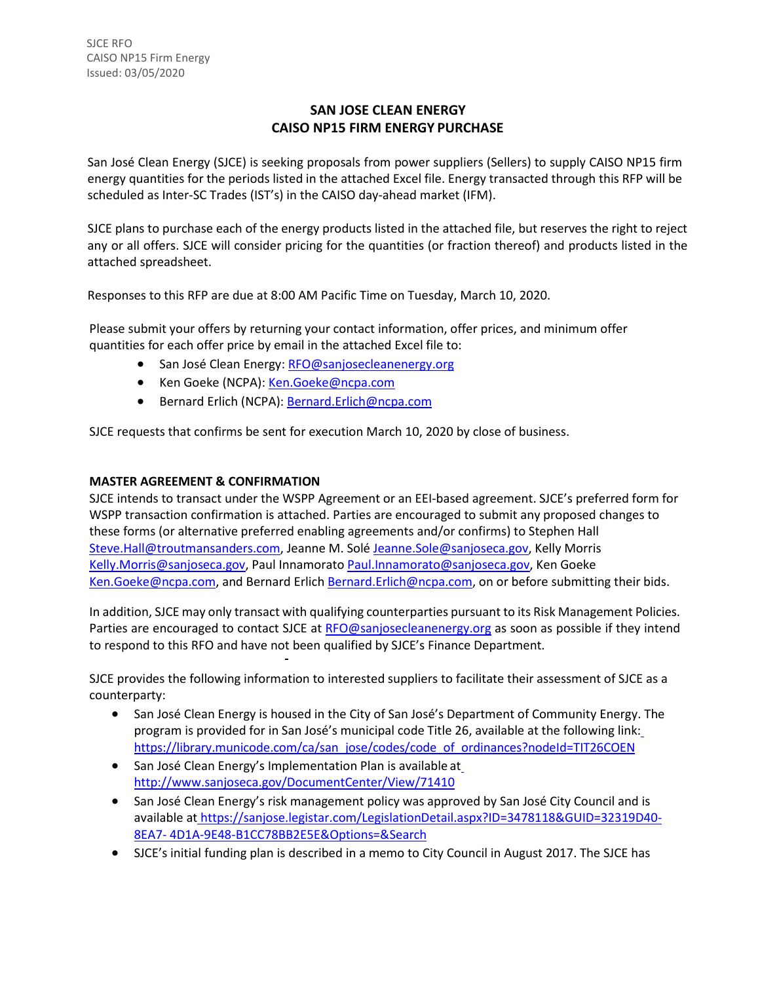## **SAN JOSE CLEAN ENERGY CAISO NP15 FIRM ENERGY PURCHASE**

San José Clean Energy (SJCE) is seeking proposals from power suppliers (Sellers) to supply CAISO NP15 firm energy quantities for the periods listed in the attached Excel file. Energy transacted through this RFP will be scheduled as Inter-SC Trades (IST's) in the CAISO day-ahead market (IFM).

SJCE plans to purchase each of the energy products listed in the attached file, but reserves the right to reject any or all offers. SJCE will consider pricing for the quantities (or fraction thereof) and products listed in the attached spreadsheet.

Responses to this RFP are due at 8:00 AM Pacific Time on Tuesday, March 10, 2020.

Please submit your offers by returning your contact information, offer prices, and minimum offer quantities for each offer price by email in the attached Excel file to:

- San José Clean Energy: [RFO@sanjosecleanenergy.org](mailto:RFO@sanjosecleanenergy.org)
- Ken Goeke (NCPA): [Ken.Goeke@ncpa.com](mailto:Ken.Goeke@ncpa.com)
- Bernard Erlich (NCPA): [Bernard.Erlich@ncpa.com](mailto:Bernard.Erlich@ncpa.com)

SJCE requests that confirms be sent for execution March 10, 2020 by close of business.

## **MASTER AGREEMENT & CONFIRMATION**

SJCE intends to transact under the WSPP Agreement or an EEI-based agreement. SJCE's preferred form for WSPP transaction confirmation is attached. Parties are encouraged to submit any proposed changes to these forms (or alternative preferred enabling agreements and/or confirms) to Stephen Hall [Steve.Hall@troutmansanders.com, J](mailto:Steve.Hall@troutmansanders.com)eanne M. Solé [Jeanne.Sole@sanjoseca.gov,](mailto:Jeanne.Sole@sanjoseca.gov) Kelly Morris [Kelly.Morris@sanjoseca.gov,](mailto:Kelly.Morris@sanjoseca.gov) Paul Innamorato [Paul.Innamorato@sanjoseca.gov,](mailto:Paul.Innamorato@sanjoseca.gov) Ken Goeke [Ken.Goeke@ncpa.com,](mailto:Ken.Goeke@ncpa.com) and Bernard Erlich [Bernard.Erlich@ncpa.com,](mailto:Bernard.Erlich@ncpa.com) on or before submitting their bids.

In addition, SJCE may only transact with qualifying counterparties pursuant to its Risk Management Policies. Parties are encouraged to contact SJCE at [RFO@sanjosecleanenergy.org](mailto:RFO@sanjosecleanenergy.org) as soon as possible if they intend to respond to this RFO and have not been qualified by SJCE's Finance Department.

SJCE provides the following information to interested suppliers to facilitate their assessment of SJCE as a counterparty:

- San José Clean Energy is housed in the City of San José's Department of Community Energy. The program is provided for in San José's municipal code Title 26, available at the following link: [https://library.municode.com/ca/san\\_jose/codes/code\\_of\\_ordinances?nodeId=TIT26COEN](https://library.municode.com/ca/san_jose/codes/code_of_ordinances?nodeId=TIT26COEN)
- San José Clean Energy's Implementation Plan is available a[t](http://www.sanjoseca.gov/DocumentCenter/View/71410) <http://www.sanjoseca.gov/DocumentCenter/View/71410>
- San José Clean Energy's risk management policy was approved by San José City Council and is available at [https://sanjose.legistar.com/LegislationDetail.aspx?ID=3478118&GUID=32319D40-](https://sanjose.legistar.com/LegislationDetail.aspx?ID=3478118&GUID=32319D40-8EA7-4D1A-9E48-B1CC78BB2E5E&Options&Search) [8EA7-](https://sanjose.legistar.com/LegislationDetail.aspx?ID=3478118&GUID=32319D40-8EA7-4D1A-9E48-B1CC78BB2E5E&Options&Search) [4D1A-9E48-B1CC78BB2E5E&Options=&Search](https://sanjose.legistar.com/LegislationDetail.aspx?ID=3478118&GUID=32319D40-8EA7-4D1A-9E48-B1CC78BB2E5E&Options&Search)
- SJCE's initial funding plan is described in a memo to City Council in August 2017. The SJCE has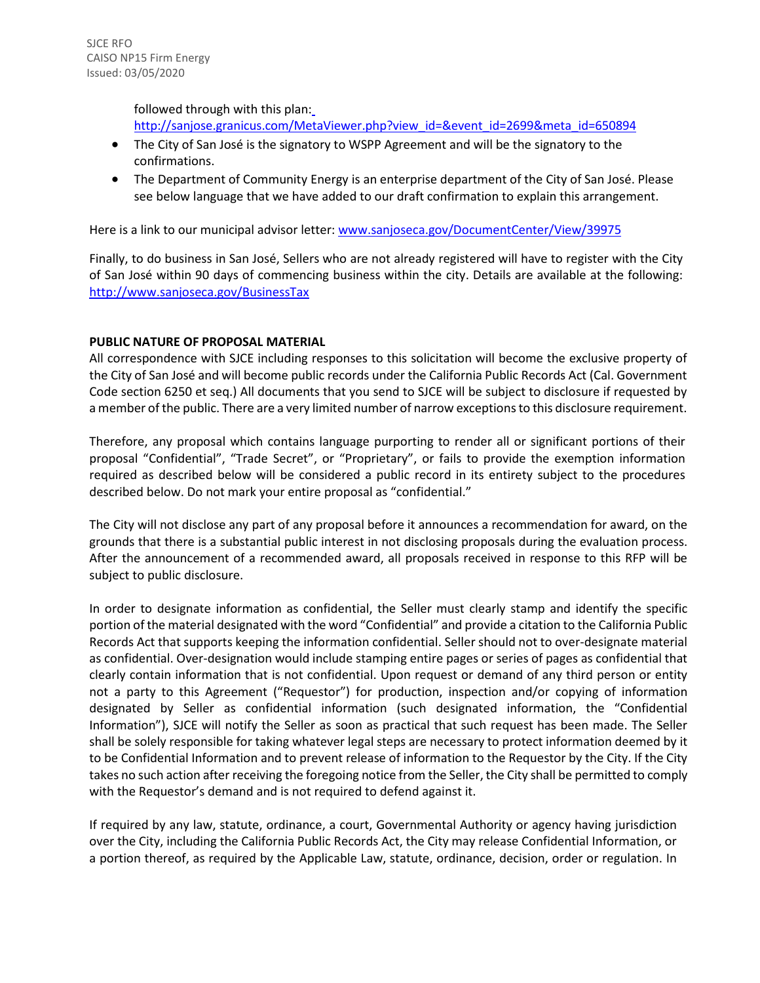followed through with this plan: [http://sanjose.granicus.com/MetaViewer.php?view\\_id=&event\\_id=2699&meta\\_id=650894](http://sanjose.granicus.com/MetaViewer.php?view_id&event_id=2699&meta_id=650894)

- The City of San José is the signatory to WSPP Agreement and will be the signatory to the confirmations.
- The Department of Community Energy is an enterprise department of the City of San José. Please see below language that we have added to our draft confirmation to explain this arrangement.

Here is a link to our municipal advisor letter[: www.sanjoseca.gov/DocumentCenter/View/39975](http://www.sanjoseca.gov/DocumentCenter/View/39975)

Finally, to do business in San José, Sellers who are not already registered will have to register with the City of San José within 90 days of commencing business within the city. Details are available at the following: <http://www.sanjoseca.gov/BusinessTax>

## **PUBLIC NATURE OF PROPOSAL MATERIAL**

All correspondence with SJCE including responses to this solicitation will become the exclusive property of the City of San José and will become public records under the California Public Records Act (Cal. Government Code section 6250 et seq.) All documents that you send to SJCE will be subject to disclosure if requested by a member of the public. There are a very limited number of narrow exceptions to this disclosure requirement.

Therefore, any proposal which contains language purporting to render all or significant portions of their proposal "Confidential", "Trade Secret", or "Proprietary", or fails to provide the exemption information required as described below will be considered a public record in its entirety subject to the procedures described below. Do not mark your entire proposal as "confidential."

The City will not disclose any part of any proposal before it announces a recommendation for award, on the grounds that there is a substantial public interest in not disclosing proposals during the evaluation process. After the announcement of a recommended award, all proposals received in response to this RFP will be subject to public disclosure.

In order to designate information as confidential, the Seller must clearly stamp and identify the specific portion of the material designated with the word "Confidential" and provide a citation to the California Public Records Act that supports keeping the information confidential. Seller should not to over-designate material as confidential. Over-designation would include stamping entire pages or series of pages as confidential that clearly contain information that is not confidential. Upon request or demand of any third person or entity not a party to this Agreement ("Requestor") for production, inspection and/or copying of information designated by Seller as confidential information (such designated information, the "Confidential Information"), SJCE will notify the Seller as soon as practical that such request has been made. The Seller shall be solely responsible for taking whatever legal steps are necessary to protect information deemed by it to be Confidential Information and to prevent release of information to the Requestor by the City. If the City takes no such action after receiving the foregoing notice from the Seller, the City shall be permitted to comply with the Requestor's demand and is not required to defend against it.

If required by any law, statute, ordinance, a court, Governmental Authority or agency having jurisdiction over the City, including the California Public Records Act, the City may release Confidential Information, or a portion thereof, as required by the Applicable Law, statute, ordinance, decision, order or regulation. In